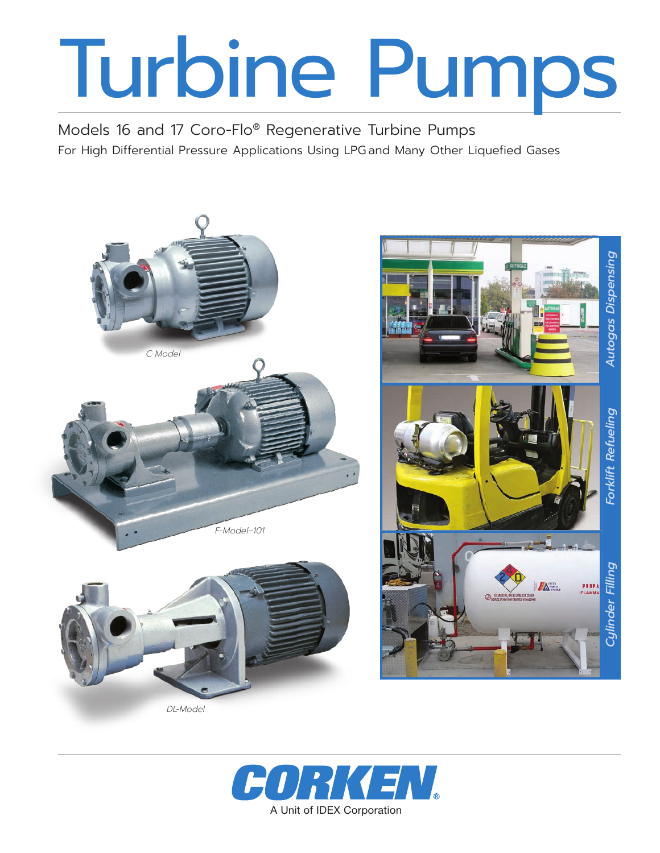# Turbine Pumps

Models 16 and 17 Coro-Flo® Regenerative Turbine Pumps For High Differential Pressure Applications Using LPG and Many Other Liquefied Gases



*DL-Model*

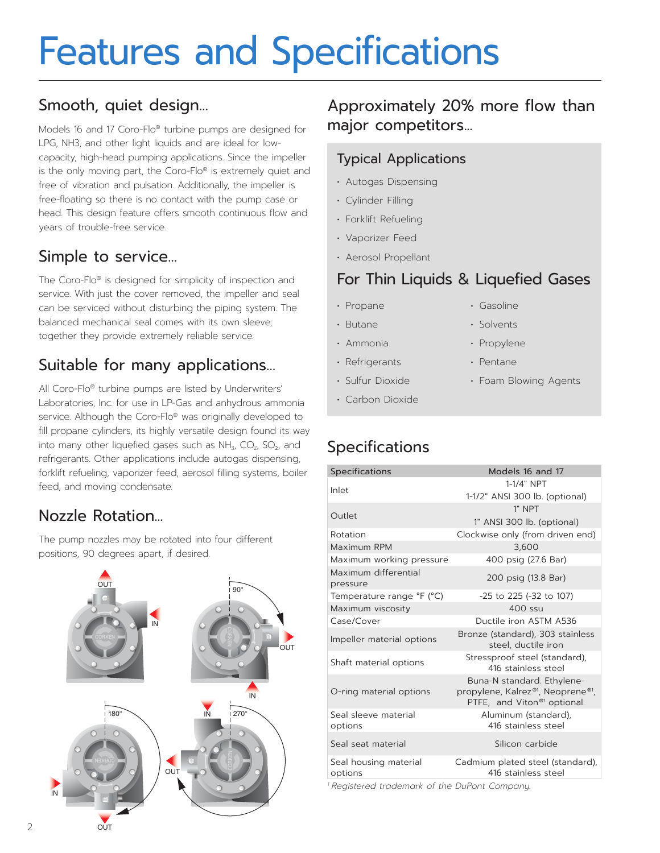# Features and Specifications

# Smooth, quiet design…

Models 16 and 17 Coro-Flo® turbine pumps are designed for LPG, NH3, and other light liquids and are ideal for lowcapacity, high-head pumping applications. Since the impeller is the only moving part, the Coro-Flo® is extremely quiet and free of vibration and pulsation. Additionally, the impeller is free-floating so there is no contact with the pump case or head. This design feature offers smooth continuous flow and years of trouble-free service.

# Simple to service…

The Coro-Flo® is designed for simplicity of inspection and service. With just the cover removed, the impeller and seal can be serviced without disturbing the piping system. The balanced mechanical seal comes with its own sleeve; together they provide extremely reliable service.

# Suitable for many applications…

All Coro-Flo® turbine pumps are listed by Underwriters' Laboratories, Inc. for use in LP-Gas and anhydrous ammonia service. Although the Coro-Flo® was originally developed to fill propane cylinders, its highly versatile design found its way into many other liquefied gases such as  $NH_3$ ,  $CO_2$ ,  $SO_2$ , and refrigerants. Other applications include autogas dispensing, forklift refueling, vaporizer feed, aerosol filling systems, boiler feed, and moving condensate.

# Nozzle Rotation...

OUT OUT

The pump nozzles may be rotated into four different positions, 90 degrees apart, if desired.

#### **CORKEN** OUT IN  $-\epsilon$ 90° **CORKEN** IN OUT 180°  $\sim$  IN 1270°  $\sim$ KEN **III** T. OUT 90° IN  $\blacksquare$ **OUT**  $180^\circ$  IN  $1270^\circ$

Approximately 20% more flow than major competitors...

### Typical Applications

- Autogas Dispensing
- Cylinder Filling
- Forklift Refueling
- Vaporizer Feed
- Aerosol Propellant

# For Thin Liquids & Liquefied Gases

• Gasoline • Solvents • Propylene • Pentane

• Foam Blowing Agents

- Propane
- Butane
- Ammonia
- Refrigerants
- Sulfur Dioxide
- Carbon Dioxide

# Specifications

| Specifications                   | Models 16 and 17                                                                                          |
|----------------------------------|-----------------------------------------------------------------------------------------------------------|
| Inlet                            | 1-1/4" NPT                                                                                                |
|                                  | 1-1/2" ANSI 300 lb. (optional)                                                                            |
|                                  | 1" NPT                                                                                                    |
| Outlet                           | 1" ANSI 300 lb. (optional)                                                                                |
| Rotation                         | Clockwise only (from driven end)                                                                          |
| Maximum RPM                      | 3,600                                                                                                     |
| Maximum working pressure         | 400 psig (27.6 Bar)                                                                                       |
| Maximum differential<br>pressure | 200 psig (13.8 Bar)                                                                                       |
| Temperature range °F (°C)        | -25 to 225 (-32 to 107)                                                                                   |
| Maximum viscosity                | $400$ ssu                                                                                                 |
| Case/Cover                       | Ductile iron ASTM A536                                                                                    |
| Impeller material options        | Bronze (standard), 303 stainless<br>steel, ductile iron                                                   |
| Shaft material options           | Stressproof steel (standard),<br>416 stainless steel                                                      |
| O-ring material options          | Buna-N standard. Ethylene-<br>propylene, Kalrez®1, Neoprene®1,<br>PTFE, and Viton <sup>®1</sup> optional. |
| Seal sleeve material<br>options  | Aluminum (standard),<br>416 stainless steel                                                               |
| Seal seat material               | Silicon carbide                                                                                           |
| Seal housing material<br>options | Cadmium plated steel (standard),<br>416 stainless steel                                                   |

*<sup>1</sup> Registered trademark of the DuPont Company.*

2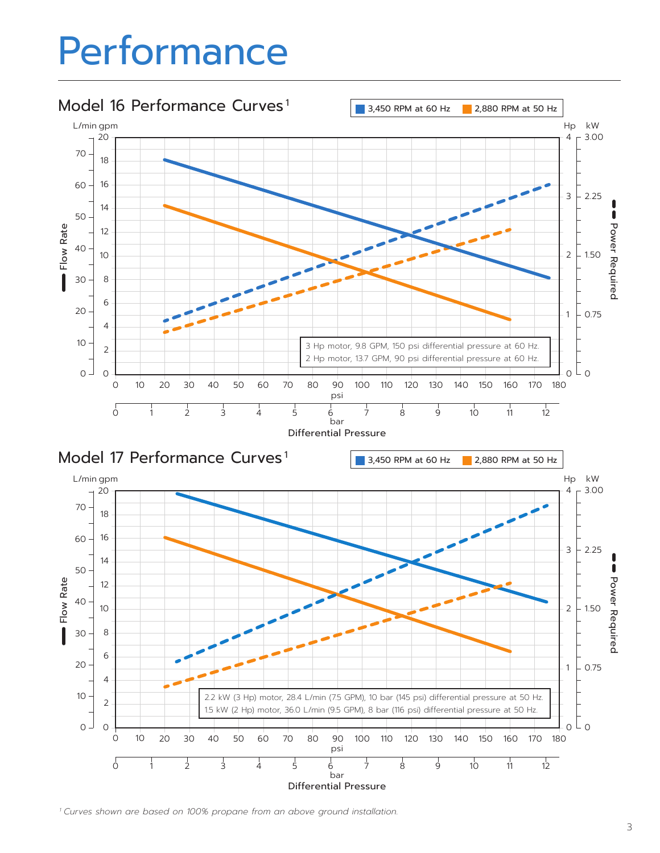# Performance



*Curves shown are based on 100% propane from an above ground installation.*